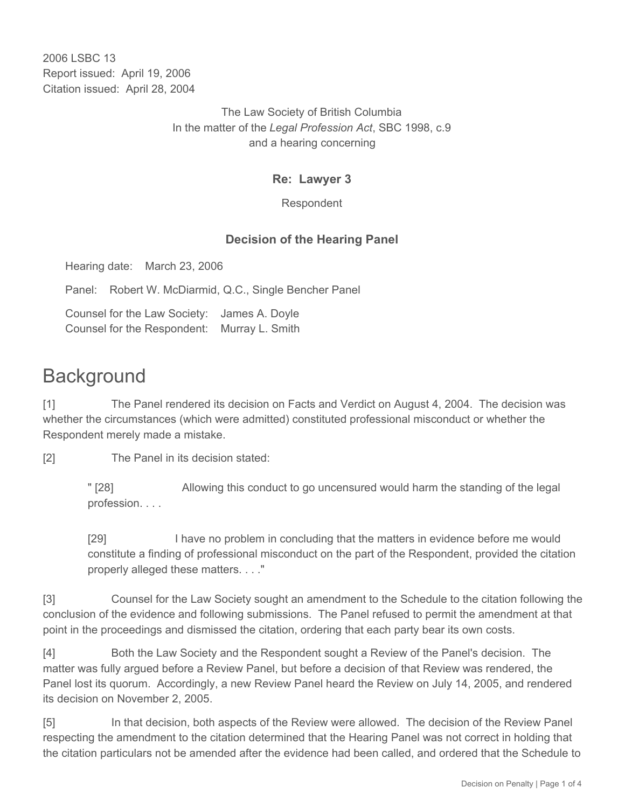2006 LSBC 13 Report issued: April 19, 2006 Citation issued: April 28, 2004

> The Law Society of British Columbia In the matter of the *Legal Profession Act*, SBC 1998, c.9 and a hearing concerning

### **Re: Lawyer 3**

Respondent

## **Decision of the Hearing Panel**

Hearing date: March 23, 2006

Panel: Robert W. McDiarmid, Q.C., Single Bencher Panel

Counsel for the Law Society: James A. Doyle Counsel for the Respondent: Murray L. Smith

# **Background**

[1] The Panel rendered its decision on Facts and Verdict on August 4, 2004. The decision was whether the circumstances (which were admitted) constituted professional misconduct or whether the Respondent merely made a mistake.

[2] The Panel in its decision stated:

" [28] Allowing this conduct to go uncensured would harm the standing of the legal profession. . . .

[29] I have no problem in concluding that the matters in evidence before me would constitute a finding of professional misconduct on the part of the Respondent, provided the citation properly alleged these matters. . . ."

[3] Counsel for the Law Society sought an amendment to the Schedule to the citation following the conclusion of the evidence and following submissions. The Panel refused to permit the amendment at that point in the proceedings and dismissed the citation, ordering that each party bear its own costs.

[4] Both the Law Society and the Respondent sought a Review of the Panel's decision. The matter was fully argued before a Review Panel, but before a decision of that Review was rendered, the Panel lost its quorum. Accordingly, a new Review Panel heard the Review on July 14, 2005, and rendered its decision on November 2, 2005.

[5] In that decision, both aspects of the Review were allowed. The decision of the Review Panel respecting the amendment to the citation determined that the Hearing Panel was not correct in holding that the citation particulars not be amended after the evidence had been called, and ordered that the Schedule to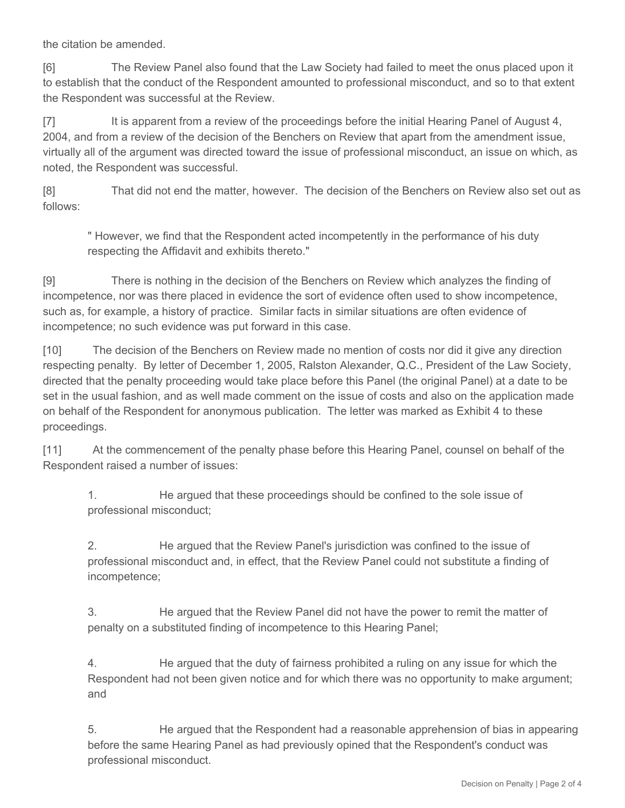the citation be amended.

[6] The Review Panel also found that the Law Society had failed to meet the onus placed upon it to establish that the conduct of the Respondent amounted to professional misconduct, and so to that extent the Respondent was successful at the Review.

[7] It is apparent from a review of the proceedings before the initial Hearing Panel of August 4, 2004, and from a review of the decision of the Benchers on Review that apart from the amendment issue, virtually all of the argument was directed toward the issue of professional misconduct, an issue on which, as noted, the Respondent was successful.

[8] That did not end the matter, however. The decision of the Benchers on Review also set out as follows:

" However, we find that the Respondent acted incompetently in the performance of his duty respecting the Affidavit and exhibits thereto."

[9] There is nothing in the decision of the Benchers on Review which analyzes the finding of incompetence, nor was there placed in evidence the sort of evidence often used to show incompetence, such as, for example, a history of practice. Similar facts in similar situations are often evidence of incompetence; no such evidence was put forward in this case.

[10] The decision of the Benchers on Review made no mention of costs nor did it give any direction respecting penalty. By letter of December 1, 2005, Ralston Alexander, Q.C., President of the Law Society, directed that the penalty proceeding would take place before this Panel (the original Panel) at a date to be set in the usual fashion, and as well made comment on the issue of costs and also on the application made on behalf of the Respondent for anonymous publication. The letter was marked as Exhibit 4 to these proceedings.

[11] At the commencement of the penalty phase before this Hearing Panel, counsel on behalf of the Respondent raised a number of issues:

1. He argued that these proceedings should be confined to the sole issue of professional misconduct;

2. He argued that the Review Panel's jurisdiction was confined to the issue of professional misconduct and, in effect, that the Review Panel could not substitute a finding of incompetence;

3. He argued that the Review Panel did not have the power to remit the matter of penalty on a substituted finding of incompetence to this Hearing Panel;

4. He argued that the duty of fairness prohibited a ruling on any issue for which the Respondent had not been given notice and for which there was no opportunity to make argument; and

5. He argued that the Respondent had a reasonable apprehension of bias in appearing before the same Hearing Panel as had previously opined that the Respondent's conduct was professional misconduct.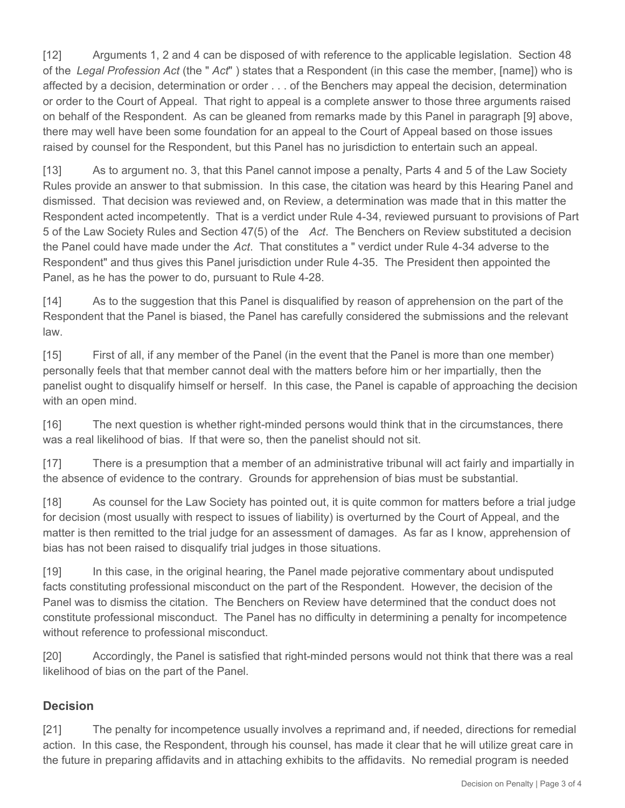[12] Arguments 1, 2 and 4 can be disposed of with reference to the applicable legislation. Section 48 of the *Legal Profession Act* (the " *Act*" ) states that a Respondent (in this case the member, [name]) who is affected by a decision, determination or order . . . of the Benchers may appeal the decision, determination or order to the Court of Appeal. That right to appeal is a complete answer to those three arguments raised on behalf of the Respondent. As can be gleaned from remarks made by this Panel in paragraph [9] above, there may well have been some foundation for an appeal to the Court of Appeal based on those issues raised by counsel for the Respondent, but this Panel has no jurisdiction to entertain such an appeal.

[13] As to argument no. 3, that this Panel cannot impose a penalty, Parts 4 and 5 of the Law Society Rules provide an answer to that submission. In this case, the citation was heard by this Hearing Panel and dismissed. That decision was reviewed and, on Review, a determination was made that in this matter the Respondent acted incompetently. That is a verdict under Rule 4-34, reviewed pursuant to provisions of Part 5 of the Law Society Rules and Section 47(5) of the *Act*. The Benchers on Review substituted a decision the Panel could have made under the *Act*. That constitutes a " verdict under Rule 4-34 adverse to the Respondent" and thus gives this Panel jurisdiction under Rule 4-35. The President then appointed the Panel, as he has the power to do, pursuant to Rule 4-28.

[14] As to the suggestion that this Panel is disqualified by reason of apprehension on the part of the Respondent that the Panel is biased, the Panel has carefully considered the submissions and the relevant law.

[15] First of all, if any member of the Panel (in the event that the Panel is more than one member) personally feels that that member cannot deal with the matters before him or her impartially, then the panelist ought to disqualify himself or herself. In this case, the Panel is capable of approaching the decision with an open mind.

[16] The next question is whether right-minded persons would think that in the circumstances, there was a real likelihood of bias. If that were so, then the panelist should not sit.

[17] There is a presumption that a member of an administrative tribunal will act fairly and impartially in the absence of evidence to the contrary. Grounds for apprehension of bias must be substantial.

[18] As counsel for the Law Society has pointed out, it is quite common for matters before a trial judge for decision (most usually with respect to issues of liability) is overturned by the Court of Appeal, and the matter is then remitted to the trial judge for an assessment of damages. As far as I know, apprehension of bias has not been raised to disqualify trial judges in those situations.

[19] In this case, in the original hearing, the Panel made pejorative commentary about undisputed facts constituting professional misconduct on the part of the Respondent. However, the decision of the Panel was to dismiss the citation. The Benchers on Review have determined that the conduct does not constitute professional misconduct. The Panel has no difficulty in determining a penalty for incompetence without reference to professional misconduct.

[20] Accordingly, the Panel is satisfied that right-minded persons would not think that there was a real likelihood of bias on the part of the Panel.

## **Decision**

[21] The penalty for incompetence usually involves a reprimand and, if needed, directions for remedial action. In this case, the Respondent, through his counsel, has made it clear that he will utilize great care in the future in preparing affidavits and in attaching exhibits to the affidavits. No remedial program is needed